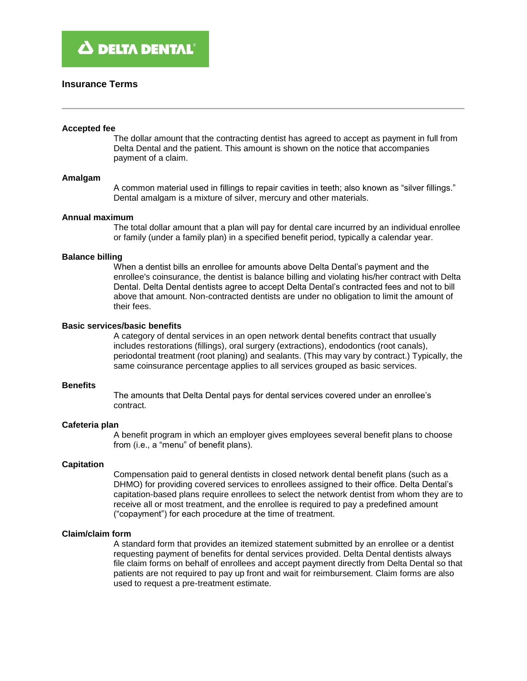# **Insurance Terms**

#### **Accepted fee**

The dollar amount that the contracting dentist has agreed to accept as payment in full from Delta Dental and the patient. This amount is shown on the notice that accompanies payment of a claim.

#### **Amalgam**

A common material used in fillings to repair cavities in teeth; also known as "silver fillings." Dental amalgam is a mixture of silver, mercury and other materials.

#### **Annual maximum**

The total dollar amount that a plan will pay for dental care incurred by an individual enrollee or family (under a family plan) in a specified benefit period, typically a calendar year.

### **Balance billing**

When a dentist bills an enrollee for amounts above Delta Dental's payment and the enrollee's coinsurance, the dentist is balance billing and violating his/her contract with Delta Dental. Delta Dental dentists agree to accept Delta Dental's contracted fees and not to bill above that amount. Non-contracted dentists are under no obligation to limit the amount of their fees.

# **Basic services/basic benefits**

A category of dental services in an open network dental benefits contract that usually includes restorations (fillings), oral surgery (extractions), endodontics (root canals), periodontal treatment (root planing) and sealants. (This may vary by contract.) Typically, the same coinsurance percentage applies to all services grouped as basic services.

### **Benefits**

The amounts that Delta Dental pays for dental services covered under an enrollee's contract.

### **Cafeteria plan**

A benefit program in which an employer gives employees several benefit plans to choose from (i.e., a "menu" of benefit plans).

### **Capitation**

Compensation paid to general dentists in closed network dental benefit plans (such as a DHMO) for providing covered services to enrollees assigned to their office. Delta Dental's capitation-based plans require enrollees to select the network dentist from whom they are to receive all or most treatment, and the enrollee is required to pay a predefined amount ("copayment") for each procedure at the time of treatment.

# **Claim/claim form**

A standard form that provides an itemized statement submitted by an enrollee or a dentist requesting payment of benefits for dental services provided. Delta Dental dentists always file claim forms on behalf of enrollees and accept payment directly from Delta Dental so that patients are not required to pay up front and wait for reimbursement. Claim forms are also used to request a pre-treatment estimate.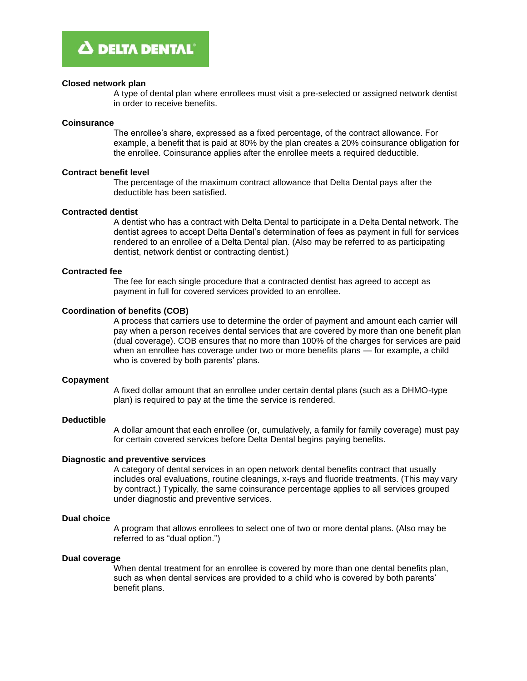### **Closed network plan**

A type of dental plan where enrollees must visit a pre-selected or assigned network dentist in order to receive benefits.

### **Coinsurance**

The enrollee's share, expressed as a fixed percentage, of the contract allowance. For example, a benefit that is paid at 80% by the plan creates a 20% coinsurance obligation for the enrollee. Coinsurance applies after the enrollee meets a required deductible.

# **Contract benefit level**

The percentage of the maximum contract allowance that Delta Dental pays after the deductible has been satisfied.

### **Contracted dentist**

A dentist who has a contract with Delta Dental to participate in a Delta Dental network. The dentist agrees to accept Delta Dental's determination of fees as payment in full for services rendered to an enrollee of a Delta Dental plan. (Also may be referred to as participating dentist, network dentist or contracting dentist.)

# **Contracted fee**

The fee for each single procedure that a contracted dentist has agreed to accept as payment in full for covered services provided to an enrollee.

# **Coordination of benefits (COB)**

A process that carriers use to determine the order of payment and amount each carrier will pay when a person receives dental services that are covered by more than one benefit plan (dual coverage). COB ensures that no more than 100% of the charges for services are paid when an enrollee has coverage under two or more benefits plans — for example, a child who is covered by both parents' plans.

### **Copayment**

A fixed dollar amount that an enrollee under certain dental plans (such as a DHMO-type plan) is required to pay at the time the service is rendered.

### **Deductible**

A dollar amount that each enrollee (or, cumulatively, a family for family coverage) must pay for certain covered services before Delta Dental begins paying benefits.

# **Diagnostic and preventive services**

A category of dental services in an open network dental benefits contract that usually includes oral evaluations, routine cleanings, x-rays and fluoride treatments. (This may vary by contract.) Typically, the same coinsurance percentage applies to all services grouped under diagnostic and preventive services.

### **Dual choice**

A program that allows enrollees to select one of two or more dental plans. (Also may be referred to as "dual option.")

### **Dual coverage**

When dental treatment for an enrollee is covered by more than one dental benefits plan, such as when dental services are provided to a child who is covered by both parents' benefit plans.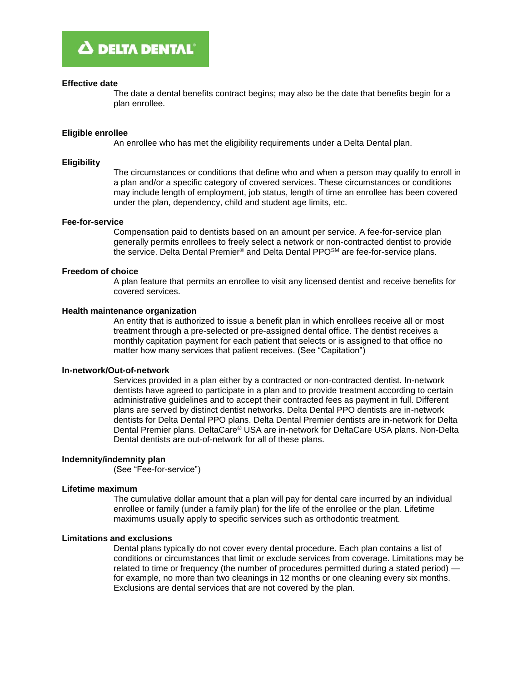### **Effective date**

The date a dental benefits contract begins; may also be the date that benefits begin for a plan enrollee.

### **Eligible enrollee**

An enrollee who has met the eligibility requirements under a Delta Dental plan.

#### **Eligibility**

The circumstances or conditions that define who and when a person may qualify to enroll in a plan and/or a specific category of covered services. These circumstances or conditions may include length of employment, job status, length of time an enrollee has been covered under the plan, dependency, child and student age limits, etc.

### **Fee-for-service**

Compensation paid to dentists based on an amount per service. A fee-for-service plan generally permits enrollees to freely select a network or non-contracted dentist to provide the service. Delta Dental Premier® and Delta Dental PPOSM are fee-for-service plans.

#### **Freedom of choice**

A plan feature that permits an enrollee to visit any licensed dentist and receive benefits for covered services.

# **Health maintenance organization**

An entity that is authorized to issue a benefit plan in which enrollees receive all or most treatment through a pre-selected or pre-assigned dental office. The dentist receives a monthly capitation payment for each patient that selects or is assigned to that office no matter how many services that patient receives. (See "Capitation")

### **In-network/Out-of-network**

Services provided in a plan either by a contracted or non-contracted dentist. In-network dentists have agreed to participate in a plan and to provide treatment according to certain administrative guidelines and to accept their contracted fees as payment in full. Different plans are served by distinct dentist networks. Delta Dental PPO dentists are in-network dentists for Delta Dental PPO plans. Delta Dental Premier dentists are in-network for Delta Dental Premier plans. DeltaCare® USA are in-network for DeltaCare USA plans. Non-Delta Dental dentists are out-of-network for all of these plans.

# **Indemnity/indemnity plan**

(See "Fee-for-service")

### **Lifetime maximum**

The cumulative dollar amount that a plan will pay for dental care incurred by an individual enrollee or family (under a family plan) for the life of the enrollee or the plan. Lifetime maximums usually apply to specific services such as orthodontic treatment.

# **Limitations and exclusions**

Dental plans typically do not cover every dental procedure. Each plan contains a list of conditions or circumstances that limit or exclude services from coverage. Limitations may be related to time or frequency (the number of procedures permitted during a stated period) for example, no more than two cleanings in 12 months or one cleaning every six months. Exclusions are dental services that are not covered by the plan.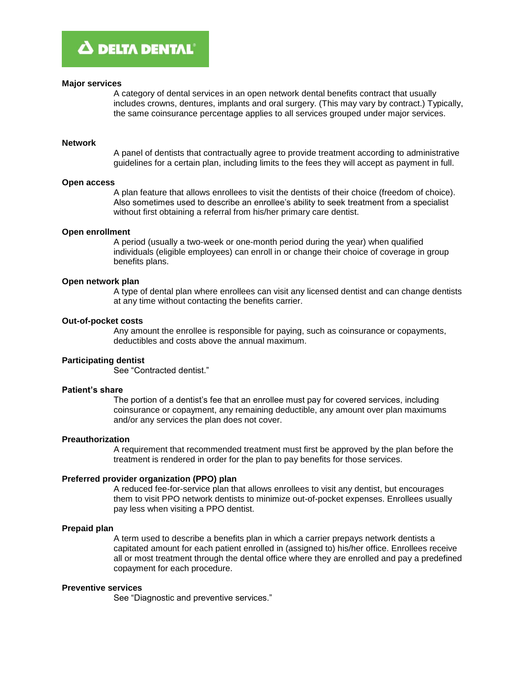### **Major services**

A category of dental services in an open network dental benefits contract that usually includes crowns, dentures, implants and oral surgery. (This may vary by contract.) Typically, the same coinsurance percentage applies to all services grouped under major services.

#### **Network**

A panel of dentists that contractually agree to provide treatment according to administrative guidelines for a certain plan, including limits to the fees they will accept as payment in full.

#### **Open access**

A plan feature that allows enrollees to visit the dentists of their choice (freedom of choice). Also sometimes used to describe an enrollee's ability to seek treatment from a specialist without first obtaining a referral from his/her primary care dentist.

# **Open enrollment**

A period (usually a two-week or one-month period during the year) when qualified individuals (eligible employees) can enroll in or change their choice of coverage in group benefits plans.

#### **Open network plan**

A type of dental plan where enrollees can visit any licensed dentist and can change dentists at any time without contacting the benefits carrier.

# **Out-of-pocket costs**

Any amount the enrollee is responsible for paying, such as coinsurance or copayments, deductibles and costs above the annual maximum.

# **Participating dentist**

See "Contracted dentist."

#### **Patient's share**

The portion of a dentist's fee that an enrollee must pay for covered services, including coinsurance or copayment, any remaining deductible, any amount over plan maximums and/or any services the plan does not cover.

# **Preauthorization**

A requirement that recommended treatment must first be approved by the plan before the treatment is rendered in order for the plan to pay benefits for those services.

### **Preferred provider organization (PPO) plan**

A reduced fee-for-service plan that allows enrollees to visit any dentist, but encourages them to visit PPO network dentists to minimize out-of-pocket expenses. Enrollees usually pay less when visiting a PPO dentist.

### **Prepaid plan**

A term used to describe a benefits plan in which a carrier prepays network dentists a capitated amount for each patient enrolled in (assigned to) his/her office. Enrollees receive all or most treatment through the dental office where they are enrolled and pay a predefined copayment for each procedure.

# **Preventive services**

See "Diagnostic and preventive services."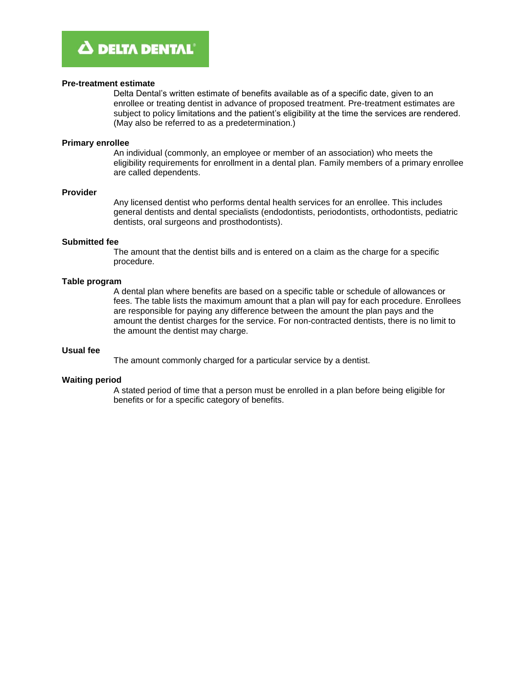### **Pre-treatment estimate**

Delta Dental's written estimate of benefits available as of a specific date, given to an enrollee or treating dentist in advance of proposed treatment. Pre-treatment estimates are subject to policy limitations and the patient's eligibility at the time the services are rendered. (May also be referred to as a predetermination.)

### **Primary enrollee**

An individual (commonly, an employee or member of an association) who meets the eligibility requirements for enrollment in a dental plan. Family members of a primary enrollee are called dependents.

# **Provider**

Any licensed dentist who performs dental health services for an enrollee. This includes general dentists and dental specialists (endodontists, periodontists, orthodontists, pediatric dentists, oral surgeons and prosthodontists).

# **Submitted fee**

The amount that the dentist bills and is entered on a claim as the charge for a specific procedure.

# **Table program**

A dental plan where benefits are based on a specific table or schedule of allowances or fees. The table lists the maximum amount that a plan will pay for each procedure. Enrollees are responsible for paying any difference between the amount the plan pays and the amount the dentist charges for the service. For non-contracted dentists, there is no limit to the amount the dentist may charge.

# **Usual fee**

The amount commonly charged for a particular service by a dentist.

### **Waiting period**

A stated period of time that a person must be enrolled in a plan before being eligible for benefits or for a specific category of benefits.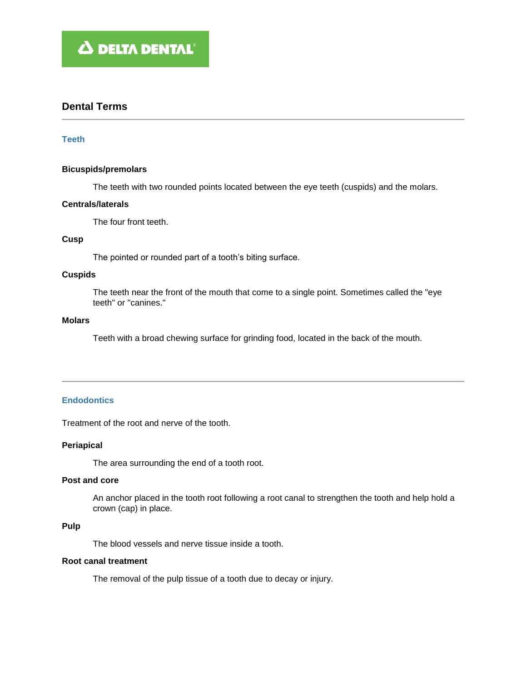# **Dental Terms**

# **Teeth**

# **Bicuspids/premolars**

The teeth with two rounded points located between the eye teeth (cuspids) and the molars.

# **Centrals/laterals**

The four front teeth.

# **Cusp**

The pointed or rounded part of a tooth's biting surface.

# **Cuspids**

The teeth near the front of the mouth that come to a single point. Sometimes called the "eye teeth" or "canines."

## **Molars**

Teeth with a broad chewing surface for grinding food, located in the back of the mouth.

# **Endodontics**

Treatment of the root and nerve of the tooth.

# **Periapical**

The area surrounding the end of a tooth root.

# **Post and core**

An anchor placed in the tooth root following a root canal to strengthen the tooth and help hold a crown (cap) in place.

# **Pulp**

The blood vessels and nerve tissue inside a tooth.

# **Root canal treatment**

The removal of the pulp tissue of a tooth due to decay or injury.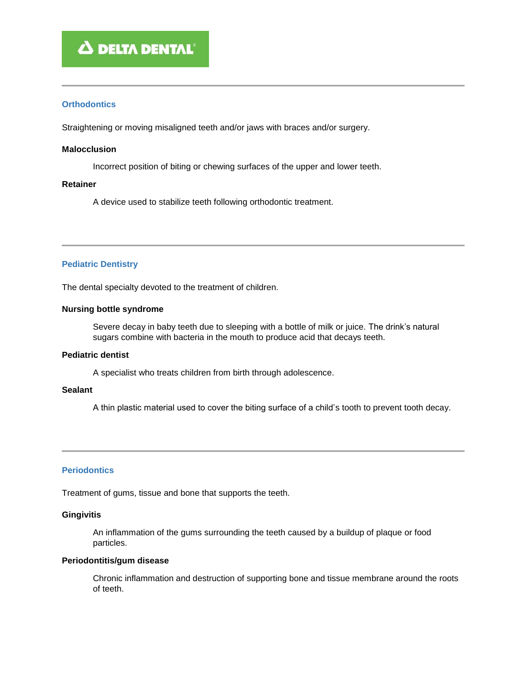# **Orthodontics**

Straightening or moving misaligned teeth and/or jaws with braces and/or surgery.

# **Malocclusion**

Incorrect position of biting or chewing surfaces of the upper and lower teeth.

# **Retainer**

A device used to stabilize teeth following orthodontic treatment.

# **Pediatric Dentistry**

The dental specialty devoted to the treatment of children.

# **Nursing bottle syndrome**

Severe decay in baby teeth due to sleeping with a bottle of milk or juice. The drink's natural sugars combine with bacteria in the mouth to produce acid that decays teeth.

# **Pediatric dentist**

A specialist who treats children from birth through adolescence.

# **Sealant**

A thin plastic material used to cover the biting surface of a child's tooth to prevent tooth decay.

# **Periodontics**

Treatment of gums, tissue and bone that supports the teeth.

# **Gingivitis**

An inflammation of the gums surrounding the teeth caused by a buildup of plaque or food particles.

# **Periodontitis/gum disease**

Chronic inflammation and destruction of supporting bone and tissue membrane around the roots of teeth.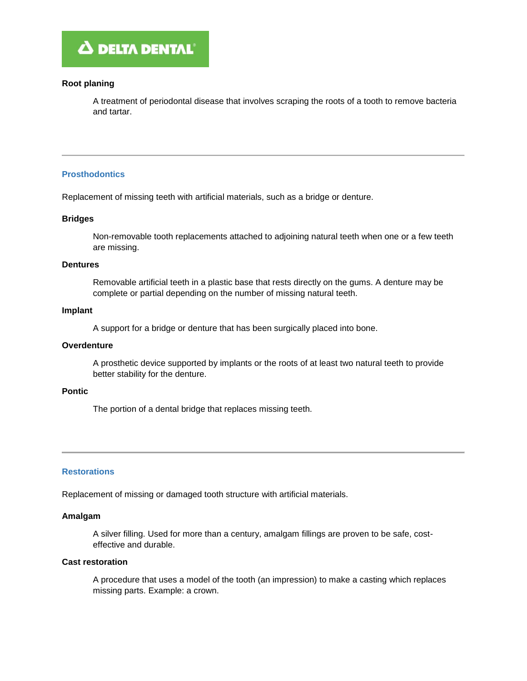# **Root planing**

A treatment of periodontal disease that involves scraping the roots of a tooth to remove bacteria and tartar.

# **Prosthodontics**

Replacement of missing teeth with artificial materials, such as a bridge or denture.

# **Bridges**

Non-removable tooth replacements attached to adjoining natural teeth when one or a few teeth are missing.

# **Dentures**

Removable artificial teeth in a plastic base that rests directly on the gums. A denture may be complete or partial depending on the number of missing natural teeth.

### **Implant**

A support for a bridge or denture that has been surgically placed into bone.

# **Overdenture**

A prosthetic device supported by implants or the roots of at least two natural teeth to provide better stability for the denture.

### **Pontic**

The portion of a dental bridge that replaces missing teeth.

# **Restorations**

Replacement of missing or damaged tooth structure with artificial materials.

# **Amalgam**

A silver filling. Used for more than a century, amalgam fillings are proven to be safe, costeffective and durable.

# **Cast restoration**

A procedure that uses a model of the tooth (an impression) to make a casting which replaces missing parts. Example: a crown.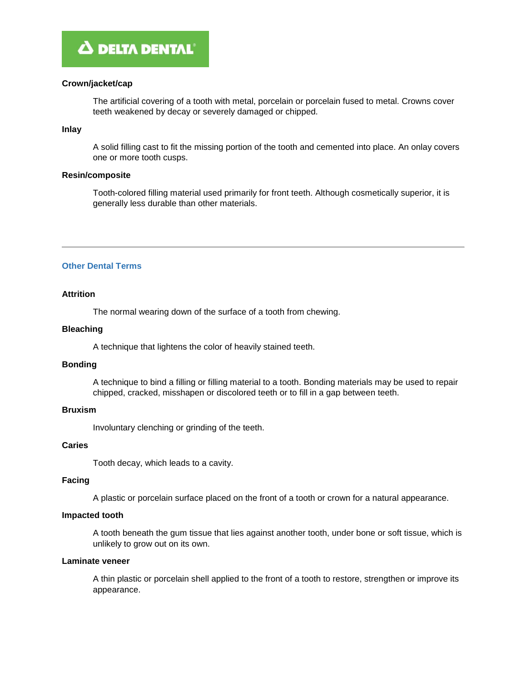# **Crown/jacket/cap**

The artificial covering of a tooth with metal, porcelain or porcelain fused to metal. Crowns cover teeth weakened by decay or severely damaged or chipped.

# **Inlay**

A solid filling cast to fit the missing portion of the tooth and cemented into place. An onlay covers one or more tooth cusps.

# **Resin/composite**

Tooth-colored filling material used primarily for front teeth. Although cosmetically superior, it is generally less durable than other materials.

# **Other Dental Terms**

# **Attrition**

The normal wearing down of the surface of a tooth from chewing.

# **Bleaching**

A technique that lightens the color of heavily stained teeth.

# **Bonding**

A technique to bind a filling or filling material to a tooth. Bonding materials may be used to repair chipped, cracked, misshapen or discolored teeth or to fill in a gap between teeth.

# **Bruxism**

Involuntary clenching or grinding of the teeth.

# **Caries**

Tooth decay, which leads to a cavity.

# **Facing**

A plastic or porcelain surface placed on the front of a tooth or crown for a natural appearance.

# **Impacted tooth**

A tooth beneath the gum tissue that lies against another tooth, under bone or soft tissue, which is unlikely to grow out on its own.

# **Laminate veneer**

A thin plastic or porcelain shell applied to the front of a tooth to restore, strengthen or improve its appearance.